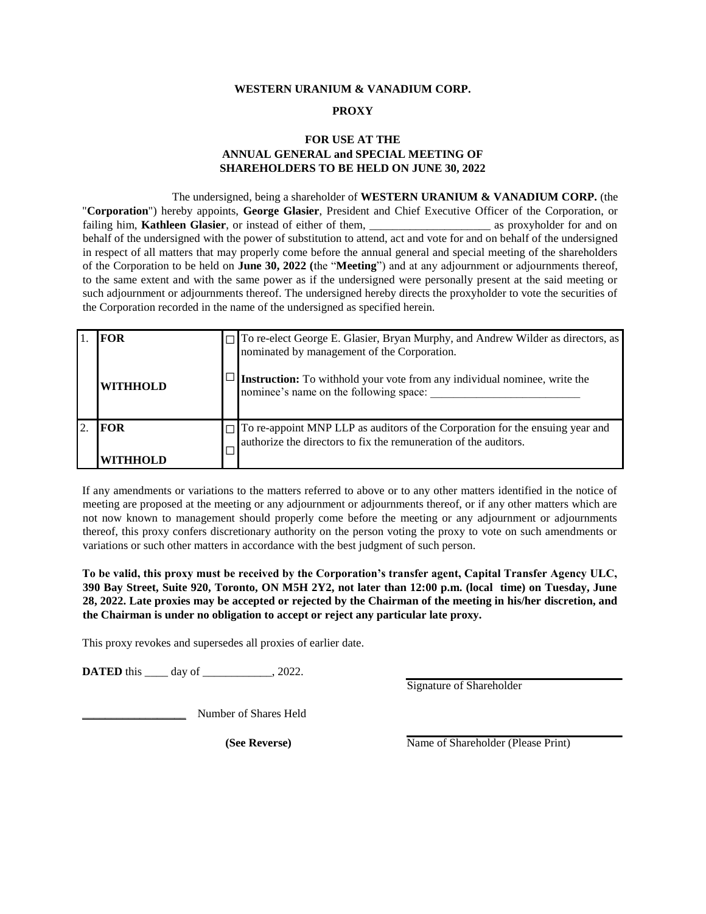### **WESTERN URANIUM & VANADIUM CORP.**

#### **PROXY**

## **FOR USE AT THE ANNUAL GENERAL and SPECIAL MEETING OF SHAREHOLDERS TO BE HELD ON JUNE 30, 2022**

#### The undersigned, being a shareholder of **WESTERN URANIUM & VANADIUM CORP.** (the

"**Corporation**") hereby appoints, **George Glasier**, President and Chief Executive Officer of the Corporation, or failing him, **Kathleen Glasier**, or instead of either of them, \_\_\_\_\_\_\_\_\_\_\_\_\_\_\_\_\_\_\_\_\_\_\_\_ as proxyholder for and on behalf of the undersigned with the power of substitution to attend, act and vote for and on behalf of the undersigned in respect of all matters that may properly come before the annual general and special meeting of the shareholders of the Corporation to be held on **June 30, 2022 (**the "**Meeting**") and at any adjournment or adjournments thereof, to the same extent and with the same power as if the undersigned were personally present at the said meeting or such adjournment or adjournments thereof. The undersigned hereby directs the proxyholder to vote the securities of the Corporation recorded in the name of the undersigned as specified herein.

| <b>FOR</b>             | To re-elect George E. Glasier, Bryan Murphy, and Andrew Wilder as directors, as nominated by management of the Corporation.                       |
|------------------------|---------------------------------------------------------------------------------------------------------------------------------------------------|
| <b>WITHHOLD</b>        | Instruction: To withhold your vote from any individual nominee, write the<br>nominee's name on the following space:                               |
| <b>FOR</b><br>WITHHOLD | To re-appoint MNP LLP as auditors of the Corporation for the ensuing year and<br>authorize the directors to fix the remuneration of the auditors. |

If any amendments or variations to the matters referred to above or to any other matters identified in the notice of meeting are proposed at the meeting or any adjournment or adjournments thereof, or if any other matters which are not now known to management should properly come before the meeting or any adjournment or adjournments thereof, this proxy confers discretionary authority on the person voting the proxy to vote on such amendments or variations or such other matters in accordance with the best judgment of such person.

**To be valid, this proxy must be received by the Corporation's transfer agent, Capital Transfer Agency ULC, 390 Bay Street, Suite 920, Toronto, ON M5H 2Y2, not later than 12:00 p.m. (local time) on Tuesday, June 28, 2022. Late proxies may be accepted or rejected by the Chairman of the meeting in his/her discretion, and the Chairman is under no obligation to accept or reject any particular late proxy.**

This proxy revokes and supersedes all proxies of earlier date.

**DATED** this \_\_\_\_\_ day of \_\_\_\_\_\_\_\_\_\_, 2022.

Signature of Shareholder

\_\_\_\_\_\_\_\_\_\_\_\_\_\_\_\_\_\_ Number of Shares Held

**(See Reverse)** Name of Shareholder (Please Print)